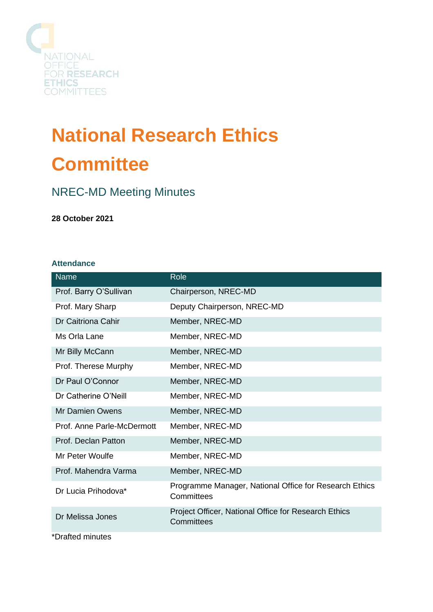

# **National Research Ethics Committee**

# NREC-MD Meeting Minutes

**28 October 2021**

#### **Attendance**

| <b>Name</b>                | Role                                                                 |
|----------------------------|----------------------------------------------------------------------|
| Prof. Barry O'Sullivan     | Chairperson, NREC-MD                                                 |
| Prof. Mary Sharp           | Deputy Chairperson, NREC-MD                                          |
| Dr Caitriona Cahir         | Member, NREC-MD                                                      |
| Ms Orla Lane               | Member, NREC-MD                                                      |
| Mr Billy McCann            | Member, NREC-MD                                                      |
| Prof. Therese Murphy       | Member, NREC-MD                                                      |
| Dr Paul O'Connor           | Member, NREC-MD                                                      |
| Dr Catherine O'Neill       | Member, NREC-MD                                                      |
| <b>Mr Damien Owens</b>     | Member, NREC-MD                                                      |
| Prof. Anne Parle-McDermott | Member, NREC-MD                                                      |
| Prof. Declan Patton        | Member, NREC-MD                                                      |
| Mr Peter Woulfe            | Member, NREC-MD                                                      |
| Prof. Mahendra Varma       | Member, NREC-MD                                                      |
| Dr Lucia Prihodova*        | Programme Manager, National Office for Research Ethics<br>Committees |
| Dr Melissa Jones           | Project Officer, National Office for Research Ethics<br>Committees   |
| *Drafted minutes           |                                                                      |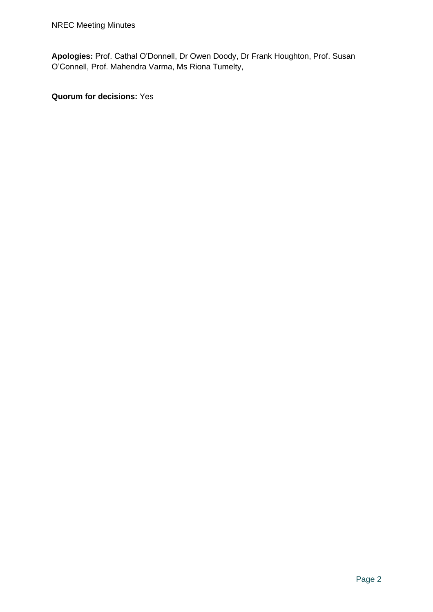**Apologies:** Prof. Cathal O'Donnell, Dr Owen Doody, Dr Frank Houghton, Prof. Susan O'Connell, Prof. Mahendra Varma, Ms Riona Tumelty,

**Quorum for decisions:** Yes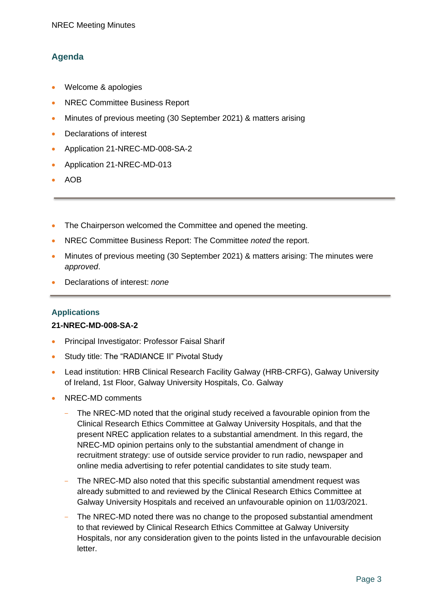# **Agenda**

- Welcome & apologies
- NREC Committee Business Report
- Minutes of previous meeting (30 September 2021) & matters arising
- Declarations of interest
- Application 21-NREC-MD-008-SA-2
- Application 21-NREC-MD-013
- AOB
- The Chairperson welcomed the Committee and opened the meeting.
- NREC Committee Business Report: The Committee *noted* the report.
- Minutes of previous meeting (30 September 2021) & matters arising: The minutes were *approved*.
- Declarations of interest: *none*

# **Applications**

# **21-NREC-MD-008-SA-2**

- Principal Investigator: Professor Faisal Sharif
- Study title: The "RADIANCE II" Pivotal Study
- Lead institution: HRB Clinical Research Facility Galway (HRB-CRFG), Galway University of Ireland, 1st Floor, Galway University Hospitals, Co. Galway
- NREC-MD comments
	- The NREC-MD noted that the original study received a favourable opinion from the Clinical Research Ethics Committee at Galway University Hospitals, and that the present NREC application relates to a substantial amendment. In this regard, the NREC-MD opinion pertains only to the substantial amendment of change in recruitment strategy: use of outside service provider to run radio, newspaper and online media advertising to refer potential candidates to site study team.
	- The NREC-MD also noted that this specific substantial amendment request was already submitted to and reviewed by the Clinical Research Ethics Committee at Galway University Hospitals and received an unfavourable opinion on 11/03/2021.
	- The NREC-MD noted there was no change to the proposed substantial amendment to that reviewed by Clinical Research Ethics Committee at Galway University Hospitals, nor any consideration given to the points listed in the unfavourable decision letter.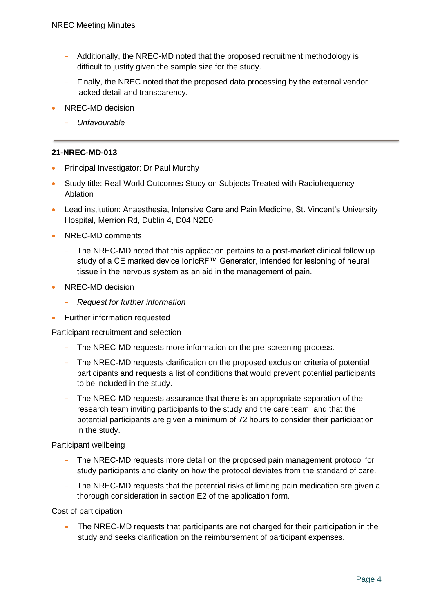- Additionally, the NREC-MD noted that the proposed recruitment methodology is difficult to justify given the sample size for the study.
- Finally, the NREC noted that the proposed data processing by the external vendor lacked detail and transparency.
- NREC-MD decision
	- *Unfavourable*

# **21-NREC-MD-013**

- Principal Investigator: Dr Paul Murphy
- Study title: Real-World Outcomes Study on Subjects Treated with Radiofrequency Ablation
- Lead institution: Anaesthesia, Intensive Care and Pain Medicine, St. Vincent's University Hospital, Merrion Rd, Dublin 4, D04 N2E0.
- NREC-MD comments
	- The NREC-MD noted that this application pertains to a post-market clinical follow up study of a CE marked device IonicRF™ Generator, intended for lesioning of neural tissue in the nervous system as an aid in the management of pain.
- NREC-MD decision
	- *Request for further information*
- Further information requested

Participant recruitment and selection

- The NREC-MD requests more information on the pre-screening process.
- The NREC-MD requests clarification on the proposed exclusion criteria of potential participants and requests a list of conditions that would prevent potential participants to be included in the study.
- The NREC-MD requests assurance that there is an appropriate separation of the research team inviting participants to the study and the care team, and that the potential participants are given a minimum of 72 hours to consider their participation in the study.

Participant wellbeing

- The NREC-MD requests more detail on the proposed pain management protocol for study participants and clarity on how the protocol deviates from the standard of care.
- The NREC-MD requests that the potential risks of limiting pain medication are given a thorough consideration in section E2 of the application form.

Cost of participation

• The NREC-MD requests that participants are not charged for their participation in the study and seeks clarification on the reimbursement of participant expenses.